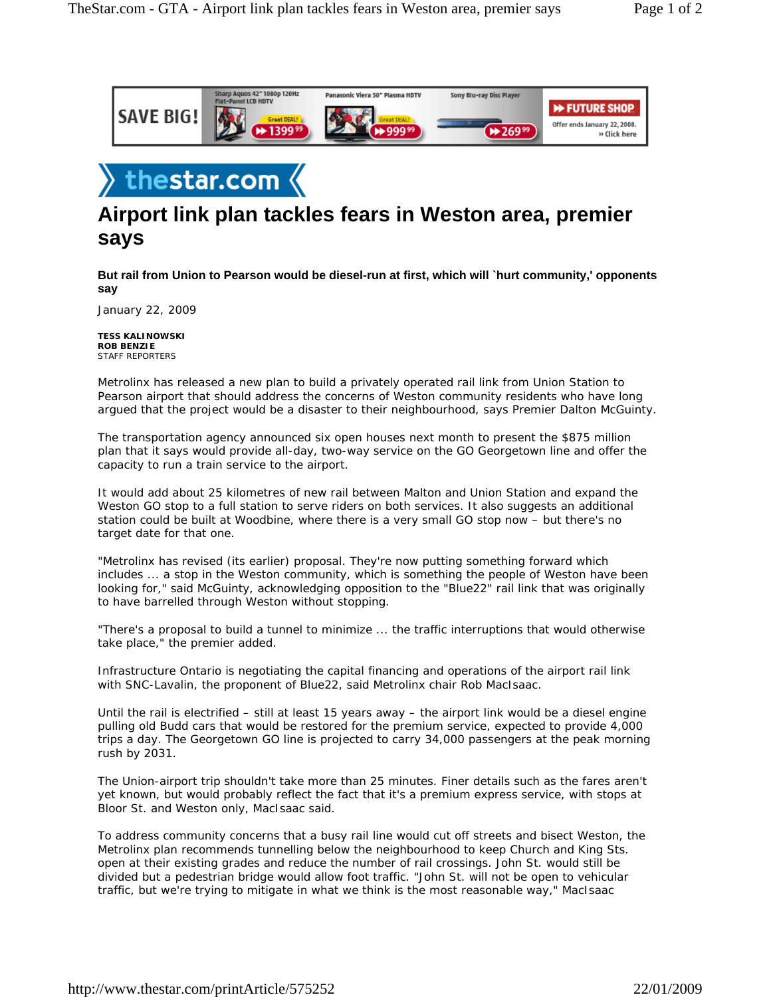



## **Airport link plan tackles fears in Weston area, premier says**

**But rail from Union to Pearson would be diesel-run at first, which will `hurt community,' opponents say**

January 22, 2009

**TESS KALINOWSKI ROB BENZIE** STAFF REPORTERS

Metrolinx has released a new plan to build a privately operated rail link from Union Station to Pearson airport that should address the concerns of Weston community residents who have long argued that the project would be a disaster to their neighbourhood, says Premier Dalton McGuinty.

The transportation agency announced six open houses next month to present the \$875 million plan that it says would provide all-day, two-way service on the GO Georgetown line and offer the capacity to run a train service to the airport.

It would add about 25 kilometres of new rail between Malton and Union Station and expand the Weston GO stop to a full station to serve riders on both services. It also suggests an additional station could be built at Woodbine, where there is a very small GO stop now – but there's no target date for that one.

"Metrolinx has revised (its earlier) proposal. They're now putting something forward which includes ... a stop in the Weston community, which is something the people of Weston have been looking for," said McGuinty, acknowledging opposition to the "Blue22" rail link that was originally to have barrelled through Weston without stopping.

"There's a proposal to build a tunnel to minimize ... the traffic interruptions that would otherwise take place," the premier added.

Infrastructure Ontario is negotiating the capital financing and operations of the airport rail link with SNC-Lavalin, the proponent of Blue22, said Metrolinx chair Rob MacIsaac.

Until the rail is electrified – still at least 15 years away – the airport link would be a diesel engine pulling old Budd cars that would be restored for the premium service, expected to provide 4,000 trips a day. The Georgetown GO line is projected to carry 34,000 passengers at the peak morning rush by 2031.

The Union-airport trip shouldn't take more than 25 minutes. Finer details such as the fares aren't yet known, but would probably reflect the fact that it's a premium express service, with stops at Bloor St. and Weston only, MacIsaac said.

To address community concerns that a busy rail line would cut off streets and bisect Weston, the Metrolinx plan recommends tunnelling below the neighbourhood to keep Church and King Sts. open at their existing grades and reduce the number of rail crossings. John St. would still be divided but a pedestrian bridge would allow foot traffic. "John St. will not be open to vehicular traffic, but we're trying to mitigate in what we think is the most reasonable way," MacIsaac